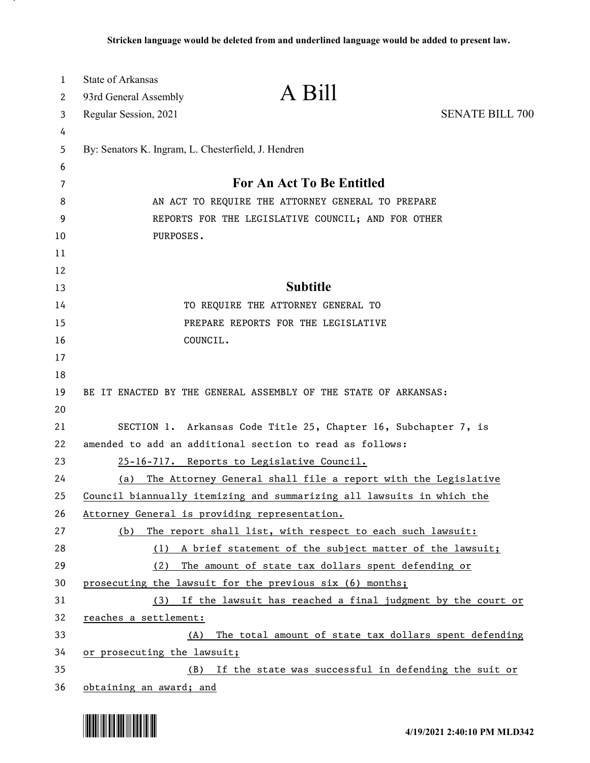| $\mathbf 1$ | <b>State of Arkansas</b>                                               |                                                                 |                        |
|-------------|------------------------------------------------------------------------|-----------------------------------------------------------------|------------------------|
| 2           | 93rd General Assembly                                                  | A Bill                                                          |                        |
| 3           | Regular Session, 2021                                                  |                                                                 | <b>SENATE BILL 700</b> |
| 4           |                                                                        |                                                                 |                        |
| 5           | By: Senators K. Ingram, L. Chesterfield, J. Hendren                    |                                                                 |                        |
| 6           |                                                                        |                                                                 |                        |
| 7           | For An Act To Be Entitled                                              |                                                                 |                        |
| 8           | AN ACT TO REQUIRE THE ATTORNEY GENERAL TO PREPARE                      |                                                                 |                        |
| 9           | REPORTS FOR THE LEGISLATIVE COUNCIL; AND FOR OTHER                     |                                                                 |                        |
| 10          | PURPOSES.                                                              |                                                                 |                        |
| 11          |                                                                        |                                                                 |                        |
| 12          |                                                                        |                                                                 |                        |
| 13          |                                                                        | <b>Subtitle</b>                                                 |                        |
| 14          |                                                                        | TO REQUIRE THE ATTORNEY GENERAL TO                              |                        |
| 15          |                                                                        | PREPARE REPORTS FOR THE LEGISLATIVE                             |                        |
| 16          | COUNCIL.                                                               |                                                                 |                        |
| 17<br>18    |                                                                        |                                                                 |                        |
| 19          | BE IT ENACTED BY THE GENERAL ASSEMBLY OF THE STATE OF ARKANSAS:        |                                                                 |                        |
| 20          |                                                                        |                                                                 |                        |
| 21          |                                                                        | SECTION 1. Arkansas Code Title 25, Chapter 16, Subchapter 7, is |                        |
| 22          | amended to add an additional section to read as follows:               |                                                                 |                        |
| 23          |                                                                        | 25-16-717. Reports to Legislative Council.                      |                        |
| 24          | (a)                                                                    | The Attorney General shall file a report with the Legislative   |                        |
| 25          | Council biannually itemizing and summarizing all lawsuits in which the |                                                                 |                        |
| 26          | Attorney General is providing representation.                          |                                                                 |                        |
| 27          | (b)                                                                    | The report shall list, with respect to each such lawsuit:       |                        |
| 28          |                                                                        | (1) A brief statement of the subject matter of the lawsuit;     |                        |
| 29          | (2)                                                                    | The amount of state tax dollars spent defending or              |                        |
| 30          | prosecuting the lawsuit for the previous six (6) months;               |                                                                 |                        |
| 31          |                                                                        | (3) If the lawsuit has reached a final judgment by the court or |                        |
| 32          | reaches a settlement:                                                  |                                                                 |                        |
| 33          | (A)                                                                    | The total amount of state tax dollars spent defending           |                        |
| 34          | or prosecuting the lawsuit;                                            |                                                                 |                        |
| 35          | (B)                                                                    | If the state was successful in defending the suit or            |                        |
| 36          | obtaining an award; and                                                |                                                                 |                        |